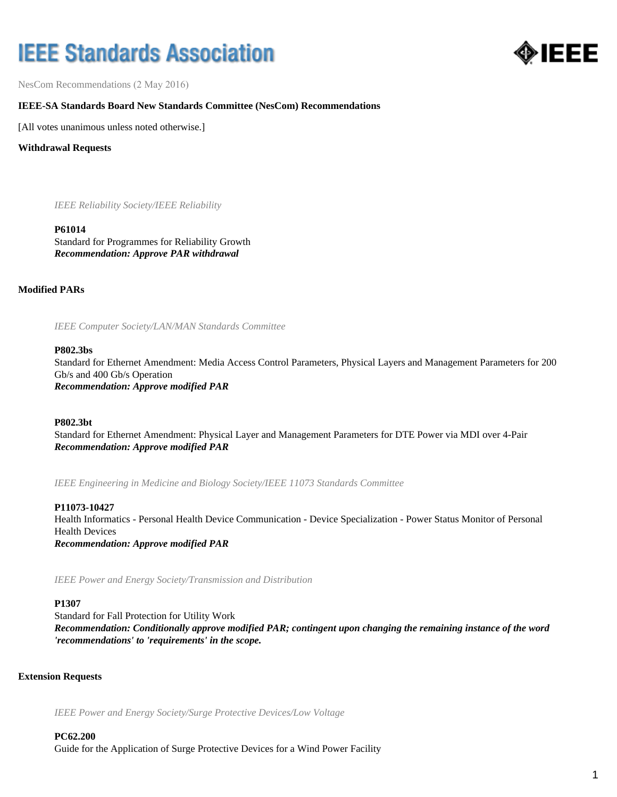# **IEEE Standards Association**



NesCom Recommendations (2 May 2016)

# **IEEE-SA Standards Board New Standards Committee (NesCom) Recommendations**

[All votes unanimous unless noted otherwise.]

**Withdrawal Requests**

*IEEE Reliability Society/IEEE Reliability*

#### **P61014**

Standard for Programmes for Reliability Growth *Recommendation: Approve PAR withdrawal*

**Modified PARs**

*IEEE Computer Society/LAN/MAN Standards Committee*

#### **P802.3bs**

Standard for Ethernet Amendment: Media Access Control Parameters, Physical Layers and Management Parameters for 200 Gb/s and 400 Gb/s Operation *Recommendation: Approve modified PAR*

**P802.3bt**

Standard for Ethernet Amendment: Physical Layer and Management Parameters for DTE Power via MDI over 4-Pair *Recommendation: Approve modified PAR*

*IEEE Engineering in Medicine and Biology Society/IEEE 11073 Standards Committee*

#### **P11073-10427**

Health Informatics - Personal Health Device Communication - Device Specialization - Power Status Monitor of Personal Health Devices *Recommendation: Approve modified PAR*

*IEEE Power and Energy Society/Transmission and Distribution*

#### **P1307**

Standard for Fall Protection for Utility Work *Recommendation: Conditionally approve modified PAR; contingent upon changing the remaining instance of the word 'recommendations' to 'requirements' in the scope.*

#### **Extension Requests**

*IEEE Power and Energy Society/Surge Protective Devices/Low Voltage*

**PC62.200** Guide for the Application of Surge Protective Devices for a Wind Power Facility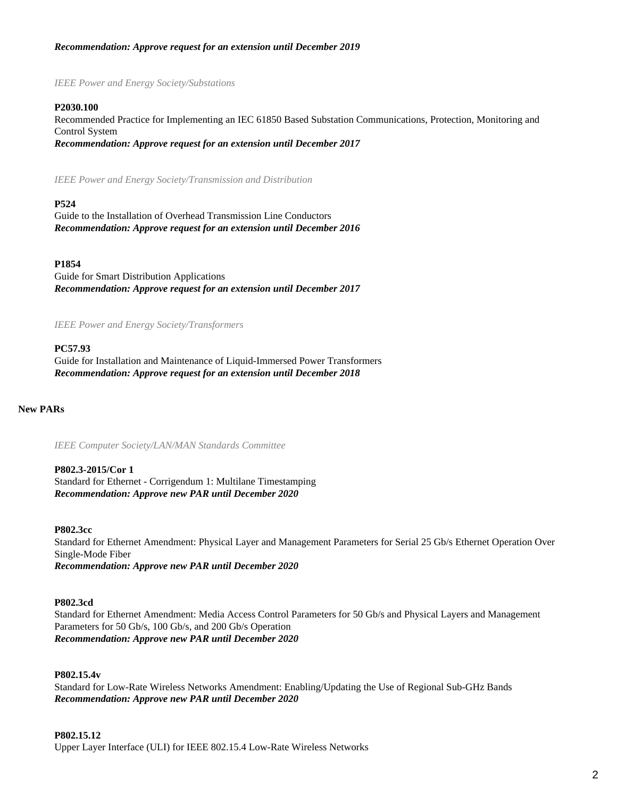# *Recommendation: Approve request for an extension until December 2019*

*IEEE Power and Energy Society/Substations*

#### **P2030.100**

Recommended Practice for Implementing an IEC 61850 Based Substation Communications, Protection, Monitoring and Control System *Recommendation: Approve request for an extension until December 2017*

*IEEE Power and Energy Society/Transmission and Distribution*

#### **P524**

Guide to the Installation of Overhead Transmission Line Conductors *Recommendation: Approve request for an extension until December 2016*

#### **P1854**

Guide for Smart Distribution Applications *Recommendation: Approve request for an extension until December 2017*

*IEEE Power and Energy Society/Transformers*

# **PC57.93**

Guide for Installation and Maintenance of Liquid-Immersed Power Transformers *Recommendation: Approve request for an extension until December 2018*

**New PARs**

*IEEE Computer Society/LAN/MAN Standards Committee*

**P802.3-2015/Cor 1** Standard for Ethernet - Corrigendum 1: Multilane Timestamping *Recommendation: Approve new PAR until December 2020*

#### **P802.3cc**

Standard for Ethernet Amendment: Physical Layer and Management Parameters for Serial 25 Gb/s Ethernet Operation Over Single-Mode Fiber *Recommendation: Approve new PAR until December 2020*

#### **P802.3cd**

Standard for Ethernet Amendment: Media Access Control Parameters for 50 Gb/s and Physical Layers and Management Parameters for 50 Gb/s, 100 Gb/s, and 200 Gb/s Operation *Recommendation: Approve new PAR until December 2020*

# **P802.15.4v**

Standard for Low-Rate Wireless Networks Amendment: Enabling/Updating the Use of Regional Sub-GHz Bands *Recommendation: Approve new PAR until December 2020*

#### **P802.15.12**

Upper Layer Interface (ULI) for IEEE 802.15.4 Low-Rate Wireless Networks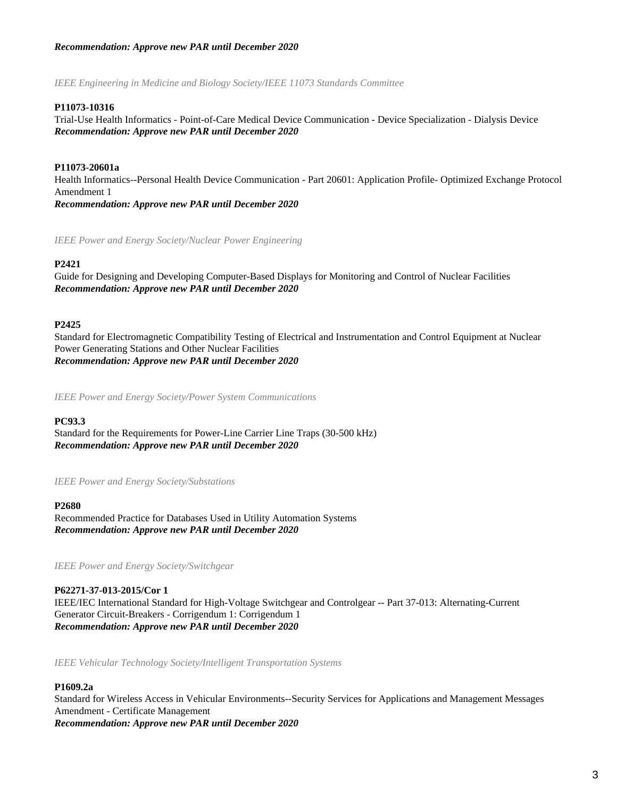# *Recommendation: Approve new PAR until December 2020*

*IEEE Engineering in Medicine and Biology Society/IEEE 11073 Standards Committee*

# **P11073-10316**

Trial-Use Health Informatics - Point-of-Care Medical Device Communication - Device Specialization - Dialysis Device *Recommendation: Approve new PAR until December 2020*

# **P11073-20601a**

Health Informatics--Personal Health Device Communication - Part 20601: Application Profile- Optimized Exchange Protocol Amendment 1 *Recommendation: Approve new PAR until December 2020*

*IEEE Power and Energy Society/Nuclear Power Engineering*

#### **P2421**

Guide for Designing and Developing Computer-Based Displays for Monitoring and Control of Nuclear Facilities *Recommendation: Approve new PAR until December 2020*

#### **P2425**

Standard for Electromagnetic Compatibility Testing of Electrical and Instrumentation and Control Equipment at Nuclear Power Generating Stations and Other Nuclear Facilities *Recommendation: Approve new PAR until December 2020*

*IEEE Power and Energy Society/Power System Communications*

#### **PC93.3**

Standard for the Requirements for Power-Line Carrier Line Traps (30-500 kHz) *Recommendation: Approve new PAR until December 2020*

*IEEE Power and Energy Society/Substations*

#### **P2680**

Recommended Practice for Databases Used in Utility Automation Systems *Recommendation: Approve new PAR until December 2020*

*IEEE Power and Energy Society/Switchgear*

**P62271-37-013-2015/Cor 1** IEEE/IEC International Standard for High-Voltage Switchgear and Controlgear -- Part 37-013: Alternating-Current Generator Circuit-Breakers - Corrigendum 1: Corrigendum 1 *Recommendation: Approve new PAR until December 2020*

*IEEE Vehicular Technology Society/Intelligent Transportation Systems*

# **P1609.2a**

Standard for Wireless Access in Vehicular Environments--Security Services for Applications and Management Messages Amendment - Certificate Management *Recommendation: Approve new PAR until December 2020*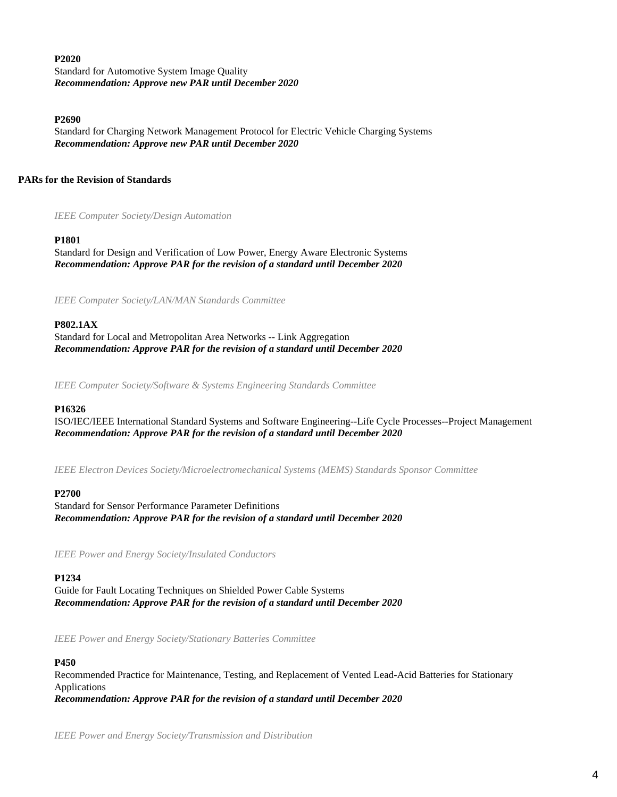## **P2020**

Standard for Automotive System Image Quality *Recommendation: Approve new PAR until December 2020*

#### **P2690**

Standard for Charging Network Management Protocol for Electric Vehicle Charging Systems *Recommendation: Approve new PAR until December 2020*

# **PARs for the Revision of Standards**

*IEEE Computer Society/Design Automation*

# **P1801**

Standard for Design and Verification of Low Power, Energy Aware Electronic Systems *Recommendation: Approve PAR for the revision of a standard until December 2020*

*IEEE Computer Society/LAN/MAN Standards Committee*

# **P802.1AX**

Standard for Local and Metropolitan Area Networks -- Link Aggregation *Recommendation: Approve PAR for the revision of a standard until December 2020*

*IEEE Computer Society/Software & Systems Engineering Standards Committee*

# **P16326**

ISO/IEC/IEEE International Standard Systems and Software Engineering--Life Cycle Processes--Project Management *Recommendation: Approve PAR for the revision of a standard until December 2020*

*IEEE Electron Devices Society/Microelectromechanical Systems (MEMS) Standards Sponsor Committee*

# **P2700**

Standard for Sensor Performance Parameter Definitions *Recommendation: Approve PAR for the revision of a standard until December 2020*

*IEEE Power and Energy Society/Insulated Conductors*

# **P1234**

Guide for Fault Locating Techniques on Shielded Power Cable Systems *Recommendation: Approve PAR for the revision of a standard until December 2020*

*IEEE Power and Energy Society/Stationary Batteries Committee*

# **P450**

Recommended Practice for Maintenance, Testing, and Replacement of Vented Lead-Acid Batteries for Stationary Applications *Recommendation: Approve PAR for the revision of a standard until December 2020*

*IEEE Power and Energy Society/Transmission and Distribution*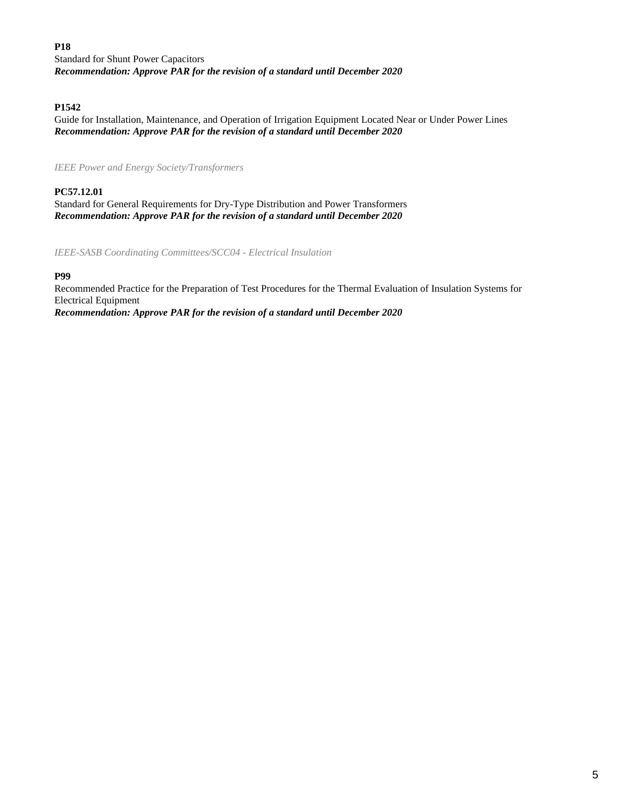# **P18**

Standard for Shunt Power Capacitors *Recommendation: Approve PAR for the revision of a standard until December 2020*

# **P1542**

Guide for Installation, Maintenance, and Operation of Irrigation Equipment Located Near or Under Power Lines *Recommendation: Approve PAR for the revision of a standard until December 2020*

*IEEE Power and Energy Society/Transformers*

# **PC57.12.01** Standard for General Requirements for Dry-Type Distribution and Power Transformers *Recommendation: Approve PAR for the revision of a standard until December 2020*

*IEEE-SASB Coordinating Committees/SCC04 - Electrical Insulation*

### **P99**

Recommended Practice for the Preparation of Test Procedures for the Thermal Evaluation of Insulation Systems for Electrical Equipment *Recommendation: Approve PAR for the revision of a standard until December 2020*